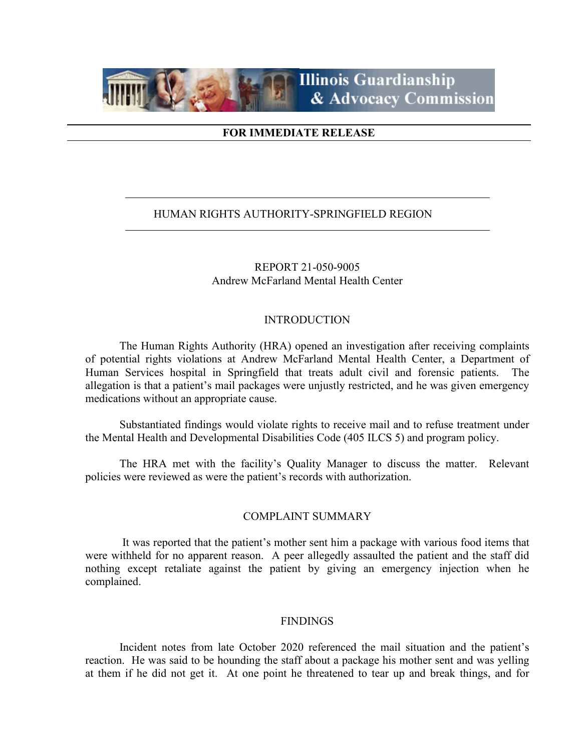

## **FOR IMMEDIATE RELEASE**

## HUMAN RIGHTS AUTHORITY-SPRINGFIELD REGION

## REPORT 21-050-9005 Andrew McFarland Mental Health Center

#### INTRODUCTION

The Human Rights Authority (HRA) opened an investigation after receiving complaints of potential rights violations at Andrew McFarland Mental Health Center, a Department of Human Services hospital in Springfield that treats adult civil and forensic patients. The allegation is that a patient's mail packages were unjustly restricted, and he was given emergency medications without an appropriate cause.

Substantiated findings would violate rights to receive mail and to refuse treatment under the Mental Health and Developmental Disabilities Code (405 ILCS 5) and program policy.

The HRA met with the facility's Quality Manager to discuss the matter. Relevant policies were reviewed as were the patient's records with authorization.

#### COMPLAINT SUMMARY

It was reported that the patient's mother sent him a package with various food items that were withheld for no apparent reason. A peer allegedly assaulted the patient and the staff did nothing except retaliate against the patient by giving an emergency injection when he complained.

#### **FINDINGS**

Incident notes from late October 2020 referenced the mail situation and the patient's reaction. He was said to be hounding the staff about a package his mother sent and was yelling at them if he did not get it. At one point he threatened to tear up and break things, and for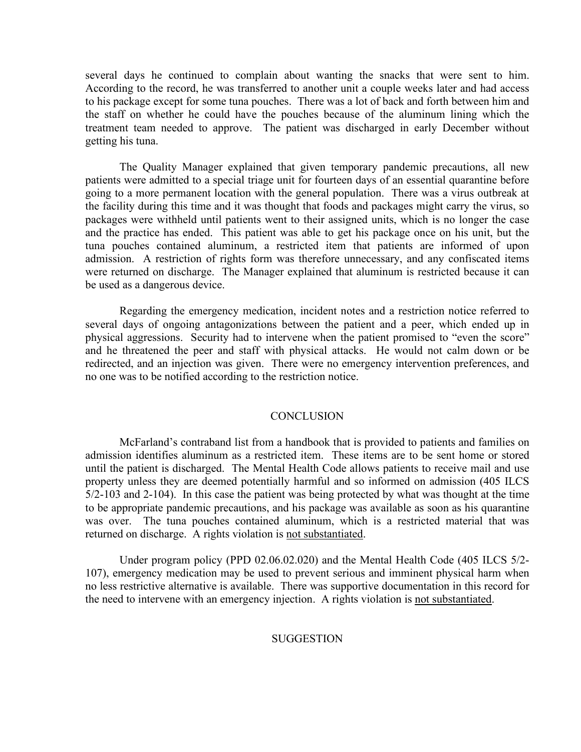several days he continued to complain about wanting the snacks that were sent to him. According to the record, he was transferred to another unit a couple weeks later and had access to his package except for some tuna pouches. There was a lot of back and forth between him and the staff on whether he could have the pouches because of the aluminum lining which the treatment team needed to approve. The patient was discharged in early December without getting his tuna.

The Quality Manager explained that given temporary pandemic precautions, all new patients were admitted to a special triage unit for fourteen days of an essential quarantine before going to a more permanent location with the general population. There was a virus outbreak at the facility during this time and it was thought that foods and packages might carry the virus, so packages were withheld until patients went to their assigned units, which is no longer the case and the practice has ended. This patient was able to get his package once on his unit, but the tuna pouches contained aluminum, a restricted item that patients are informed of upon admission. A restriction of rights form was therefore unnecessary, and any confiscated items were returned on discharge. The Manager explained that aluminum is restricted because it can be used as a dangerous device.

Regarding the emergency medication, incident notes and a restriction notice referred to several days of ongoing antagonizations between the patient and a peer, which ended up in physical aggressions. Security had to intervene when the patient promised to "even the score" and he threatened the peer and staff with physical attacks. He would not calm down or be redirected, and an injection was given. There were no emergency intervention preferences, and no one was to be notified according to the restriction notice.

#### **CONCLUSION**

McFarland's contraband list from a handbook that is provided to patients and families on admission identifies aluminum as a restricted item. These items are to be sent home or stored until the patient is discharged. The Mental Health Code allows patients to receive mail and use property unless they are deemed potentially harmful and so informed on admission (405 ILCS 5/2-103 and 2-104). In this case the patient was being protected by what was thought at the time to be appropriate pandemic precautions, and his package was available as soon as his quarantine was over. The tuna pouches contained aluminum, which is a restricted material that was returned on discharge. A rights violation is not substantiated.

Under program policy (PPD 02.06.02.020) and the Mental Health Code (405 ILCS 5/2- 107), emergency medication may be used to prevent serious and imminent physical harm when no less restrictive alternative is available. There was supportive documentation in this record for the need to intervene with an emergency injection. A rights violation is not substantiated.

#### **SUGGESTION**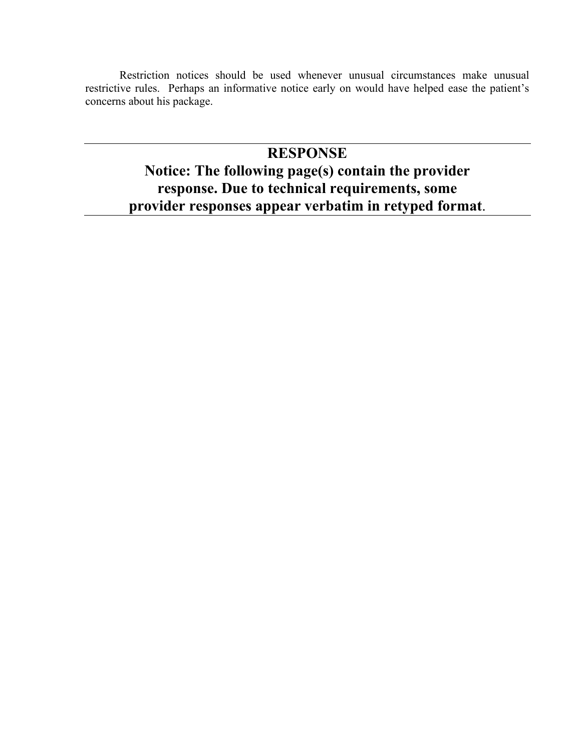Restriction notices should be used whenever unusual circumstances make unusual restrictive rules. Perhaps an informative notice early on would have helped ease the patient's concerns about his package.

## **RESPONSE**

# **Notice: The following page(s) contain the provider response. Due to technical requirements, some provider responses appear verbatim in retyped format**.